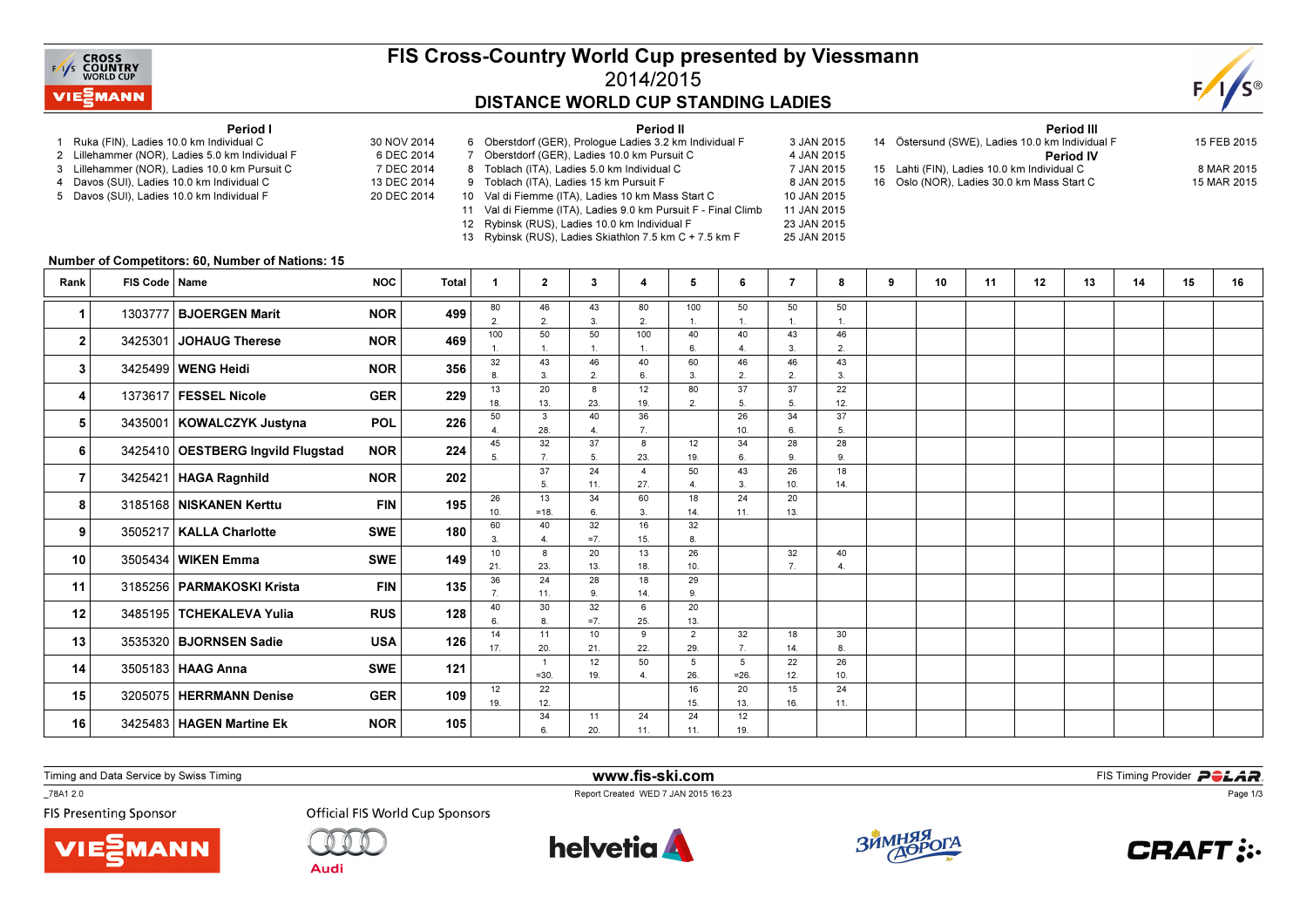

## FIS Cross-Country World Cup presented by Viessmann2014/2015DISTANCE WORLD CUP STANDING LADIES

Period II



#### Period I

- 1 Ruka (FIN), Ladies 10.0 km Individual C 30 NOV 2014
- 2 Lillehammer (NOR), Ladies 5.0 km Individual F
- 3 Lillehammer (NOR), Ladies 10.0 km Pursuit C
- 4 Davos (SUI), Ladies 10.0 km Individual C
- 5 Davos (SUI), Ladies 10.0 km Individual F
- 6 DEC 2014 7 DEC 2014 13 DEC 2014 20 DEC 2014 7 Oberstdorf (GER), Ladies 10.0 km Pursuit C 8 Toblach (ITA), Ladies 5.0 km Individual C 9 Toblach (ITA), Ladies 15 km Pursuit F
	- 10 Val di Fiemme (ITA), Ladies 10 km Mass Start C 11 Val di Fiemme (ITA), Ladies 9.0 km Pursuit F - Final Climb
	- 12 Rybinsk (RUS), Ladies 10.0 km Individual F 23 JAN 2015

13 Rybinsk (RUS), Ladies Skiathlon 7.5 km C + 7.5 km F

6 Oberstdorf (GER), Prologue Ladies 3.2 km Individual F 3 JAN 2015 4 JAN 2015 7 JAN 2015 8 JAN 2015 10 JAN 2015 11 JAN 2015 25 JAN 2015

Period III <sup>14</sup> Östersund (SWE), Ladies 10.0 km Individual F 15 FEB 2015Period IV15 Lahti (FIN), Ladies 10.0 km Individual C 8 MAR 2015 15 MAR 2015 16 Oslo (NOR), Ladies 30.0 km Mass Start C

#### Number of Competitors: 60, Number of Nations: 15

| Rank                 | FIS Code   Name |                                   | <b>NOC</b> | Total                    | -1                    | $\mathbf{2}$         | 3         | 4         | 5                     | 6         | 7         | 8         | 9 | 10 | 11 | 12 | 13 | 14 | 15 | 16 |
|----------------------|-----------------|-----------------------------------|------------|--------------------------|-----------------------|----------------------|-----------|-----------|-----------------------|-----------|-----------|-----------|---|----|----|----|----|----|----|----|
| $\blacktriangleleft$ |                 | 1303777 BJOERGEN Marit            | <b>NOR</b> | 499                      | 80                    | 46                   | 43        | 80        | 100                   | 50        | 50        | 50        |   |    |    |    |    |    |    |    |
|                      |                 |                                   |            | 469<br><b>NOR</b>        | $\overline{2}$<br>100 | $\overline{2}$<br>50 | 3.<br>50  | 2.<br>100 | 40                    | 40        | 43        | 46        |   |    |    |    |    |    |    |    |
| 2                    |                 | 3425301 JOHAUG Therese            |            |                          |                       |                      |           |           |                       |           | 3.        | 2.        |   |    |    |    |    |    |    |    |
| 3                    |                 | 3425499   WENG Heidi              | <b>NOR</b> | 356                      | 32                    | 43                   | 46        | 40        | 60                    | 46        | 46        | 43        |   |    |    |    |    |    |    |    |
|                      |                 |                                   |            |                          | 13                    | 3.<br>20             | 2.<br>8   | 6.<br>12  | 3.<br>80              | 2.<br>37  | 2.<br>37  | 3.<br>22  |   |    |    |    |    |    |    |    |
| 4                    |                 | 1373617 FESSEL Nicole             | <b>GER</b> | 229                      | 18.                   | 13.                  | 23.       | 19.       | $\overline{2}$        |           | 5.        | 12.       |   |    |    |    |    |    |    |    |
| 5                    |                 | 3435001   KOWALCZYK Justyna       | <b>POL</b> | 226                      | 50                    | 3                    | 40        | 36        |                       | 26        | 34        | 37        |   |    |    |    |    |    |    |    |
|                      |                 |                                   |            |                          | 45                    | 28.<br>32            | 37        | 7.        | 12                    | 10.<br>34 | 6.<br>28  | 5.<br>28  |   |    |    |    |    |    |    |    |
| 6                    |                 | 3425410 OESTBERG Ingvild Flugstad | <b>NOR</b> | 224                      | 5                     | $\overline{7}$       | 5.        | 8<br>23.  | 19.                   | 6         | 9.        | 9.        |   |    |    |    |    |    |    |    |
| $\overline{7}$       |                 | 3425421   HAGA Ragnhild           |            | <b>NOR</b><br>202        |                       | 37                   | 24        |           | 50                    | 43        | 26        | 18        |   |    |    |    |    |    |    |    |
|                      |                 |                                   |            |                          |                       | 5                    | 11.       | 27.       |                       | 3         | 10.       | 14.       |   |    |    |    |    |    |    |    |
| 8                    |                 | 3185168 NISKANEN Kerttu           | <b>FIN</b> | 195<br><b>SWE</b><br>180 | 26<br>10.             | 13<br>$=18.$         | 34<br>6   | 60<br>3.  | 18<br>14.             | 24<br>11. | 20<br>13. |           |   |    |    |    |    |    |    |    |
|                      |                 |                                   |            |                          | 60                    | 40                   | 32        | 16        | 32                    |           |           |           |   |    |    |    |    |    |    |    |
| 9                    |                 | 3505217   KALLA Charlotte         |            |                          | 3                     | 4                    | $=7.$     | 15.       |                       |           |           |           |   |    |    |    |    |    |    |    |
| 10                   |                 | 3505434 WIKEN Emma                | <b>SWE</b> | 149                      | 10                    | 8                    | 20        | 13        | 26                    |           | 32        | 40        |   |    |    |    |    |    |    |    |
|                      |                 |                                   |            |                          | 21.<br>36             | 23.<br>24            | 13.<br>28 | 18.<br>18 | 10.<br>29             |           |           |           |   |    |    |    |    |    |    |    |
| 11                   |                 | 3185256   PARMAKOSKI Krista       | <b>FIN</b> | 135                      |                       | 11.                  | 9         | 14.       | $\mathbf{q}$          |           |           |           |   |    |    |    |    |    |    |    |
| 12                   |                 | 3485195 TCHEKALEVA Yulia          | <b>RUS</b> | 128                      | 40                    | 30                   | 32        | 6         | 20                    |           |           |           |   |    |    |    |    |    |    |    |
|                      |                 |                                   |            |                          |                       | $\mathbf{a}$         | $=7$      | 25.       | 13.                   |           | 18        |           |   |    |    |    |    |    |    |    |
| 13                   |                 | 3535320   BJORNSEN Sadie          | <b>USA</b> | 126                      | 14<br>17.             | 11<br>20.            | 10<br>21. | 9<br>22.  | $\overline{2}$<br>29. | 32<br>7.  | 14.       | 30<br>8.  |   |    |    |    |    |    |    |    |
| 14                   |                 | 3505183 HAAG Anna                 | <b>SWE</b> | 121                      |                       | $\overline{1}$       | 12        | 50        | 5                     | 5         | 22        | 26        |   |    |    |    |    |    |    |    |
|                      |                 |                                   |            |                          |                       | $=30.$               | 19.       |           | 26.                   | $=26$ .   | 12.       | 10.       |   |    |    |    |    |    |    |    |
| 15                   |                 | 3205075 HERRMANN Denise           | <b>GER</b> | 109                      | 12<br>19.             | 22<br>12.            |           |           | 16<br>15.             | 20<br>13. | 15<br>16. | 24<br>11. |   |    |    |    |    |    |    |    |
|                      |                 |                                   |            |                          |                       | 34                   | 11        | 24        | 24                    | 12        |           |           |   |    |    |    |    |    |    |    |
| 16                   |                 | 3425483   HAGEN Martine Ek        | <b>NOR</b> | 105                      |                       | 6.                   | 20.       | 11.       | 11.                   | 19.       |           |           |   |    |    |    |    |    |    |    |

Timing and Data Service by Swiss Timing

\_78A1 2.0

**FIS Presenting Sponsor** 





**Official FIS World Cup Sponsors** 



www.fis-ski.com

Report Created WED 7 JAN 2015 16:23



**m**<br>FIS Timing Provider<br>FIS Timing Provider



Page 1/3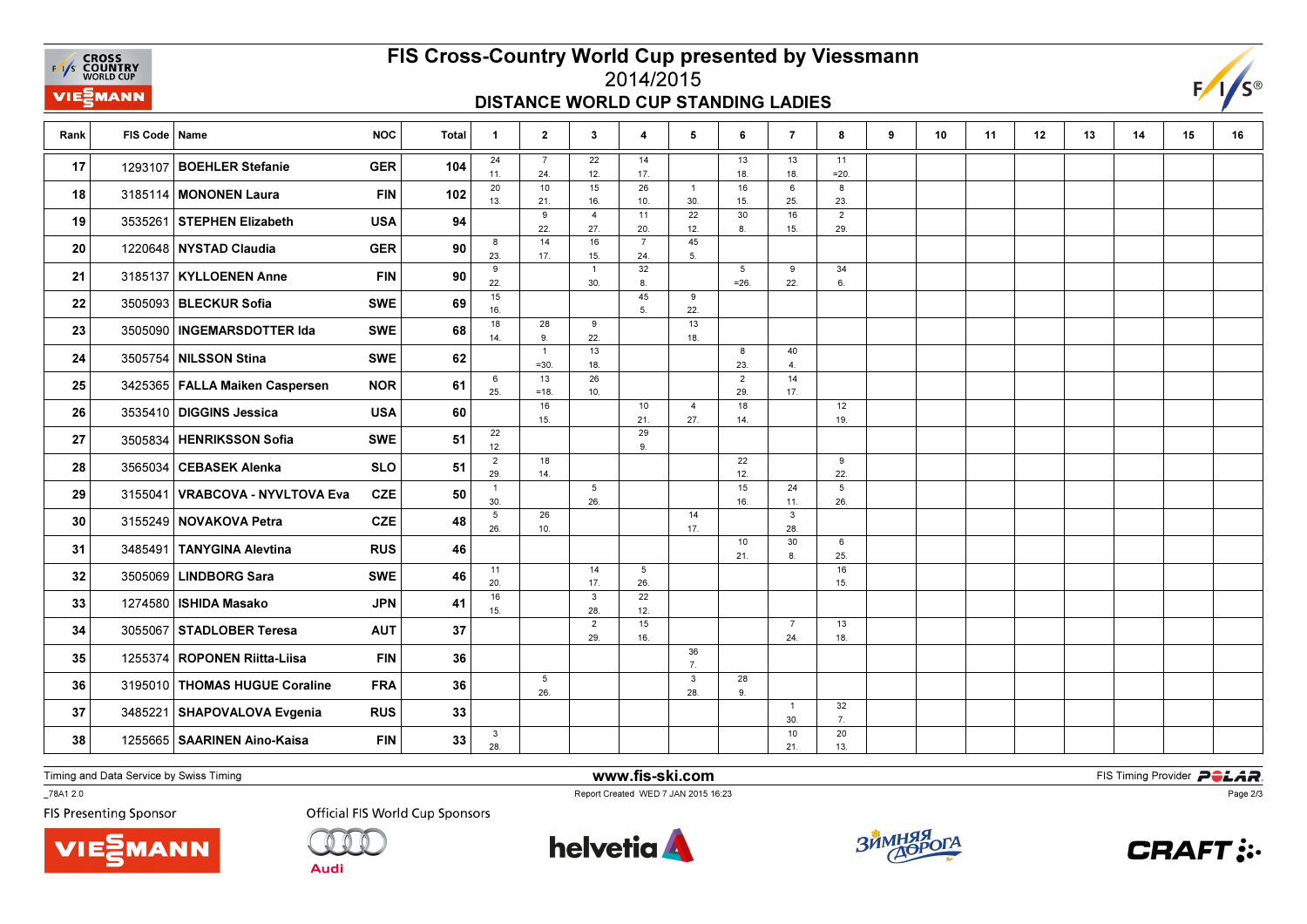**EXAMPLE CROSS**<br>
FAYS **COUNTRY**<br>
WORLD CUP **VIE***MANN* 

# FIS Cross-Country World Cup presented by Viessmann

## 2014/2015DISTANCE WORLD CUP STANDING LADIES



| Rank | FIS Code   Name |                                  | <b>NOC</b> | Total | $\mathbf{1}$           | $\mathbf{2}$           | $\mathbf{3}$           | $\overline{4}$        | 5                     | 6                         | $\overline{7}$        | 8                      | 9 | 10 | 11 | 12 | 13 | 14 | 15 | 16 |
|------|-----------------|----------------------------------|------------|-------|------------------------|------------------------|------------------------|-----------------------|-----------------------|---------------------------|-----------------------|------------------------|---|----|----|----|----|----|----|----|
| 17   |                 | 1293107 BOEHLER Stefanie         | <b>GER</b> | 104   | 24<br>11.              | $\overline{7}$<br>24.  | 22<br>12.              | 14<br>17.             |                       | 13<br>18.                 | 13<br>18.             | 11<br>$=20.$           |   |    |    |    |    |    |    |    |
| 18   |                 | 3185114 MONONEN Laura            | <b>FIN</b> | 102   | 20<br>13.              | 10<br>21.              | 15<br>16.              | 26<br>10.             | $\mathbf{1}$<br>30.   | 16<br>15.                 | 6<br>25.              | 8<br>23.               |   |    |    |    |    |    |    |    |
| 19   |                 | 3535261 STEPHEN Elizabeth        | <b>USA</b> | 94    |                        | 9<br>22.               | $\overline{4}$<br>27.  | 11<br>20.             | 22<br>12.             | 30<br>8.                  | 16<br>15.             | $\overline{2}$<br>29.  |   |    |    |    |    |    |    |    |
| 20   |                 | 1220648 NYSTAD Claudia           | <b>GER</b> | 90    | 8<br>23.               | 14<br>17.              | 16<br>15.              | $\overline{7}$<br>24. | 45<br>5.              |                           |                       |                        |   |    |    |    |    |    |    |    |
| 21   |                 | 3185137   KYLLOENEN Anne         | <b>FIN</b> | 90    | 9<br>22.               |                        | $\mathbf{1}$<br>30.    | 32<br>8.              |                       | $5\overline{5}$<br>$=26.$ | 9<br>22.              | 34<br>6.               |   |    |    |    |    |    |    |    |
| 22   |                 | 3505093 BLECKUR Sofia            | <b>SWE</b> | 69    | 15<br>16.              |                        |                        | 45<br>5.              | 9<br>22.              |                           |                       |                        |   |    |    |    |    |    |    |    |
| 23   |                 | 3505090   INGEMARSDOTTER Ida     | <b>SWE</b> | 68    | 18<br>14.              | 28<br>9.               | 9<br>22.               |                       | 13<br>18.             |                           |                       |                        |   |    |    |    |    |    |    |    |
| 24   |                 | 3505754 NILSSON Stina            | <b>SWE</b> | 62    |                        | $\mathbf{1}$<br>$=30.$ | 13<br>18.              |                       |                       | 8<br>23.                  | 40<br>4.              |                        |   |    |    |    |    |    |    |    |
| 25   |                 | 3425365   FALLA Maiken Caspersen | <b>NOR</b> | 61    | 6<br>25.               | 13<br>$=18.$           | 26<br>10.              |                       |                       | $\overline{2}$<br>29.     | 14<br>17.             |                        |   |    |    |    |    |    |    |    |
| 26   |                 | 3535410 DIGGINS Jessica          | <b>USA</b> | 60    |                        | 16<br>15.              |                        | 10<br>21.             | $\overline{4}$<br>27. | 18<br>14.                 |                       | 12<br>19.              |   |    |    |    |    |    |    |    |
| 27   |                 | 3505834 HENRIKSSON Sofia         | <b>SWE</b> | 51    | 22<br>12.              |                        |                        | 29<br>9.              |                       |                           |                       |                        |   |    |    |    |    |    |    |    |
| 28   |                 | 3565034   CEBASEK Alenka         | <b>SLO</b> | 51    | $\overline{2}$<br>29.  | 18<br>14.              |                        |                       |                       | 22<br>12.                 |                       | 9<br>22.               |   |    |    |    |    |    |    |    |
| 29   |                 | 3155041 VRABCOVA - NYVLTOVA Eva  | <b>CZE</b> | 50    | $\mathbf{1}$<br>30.    |                        | $5\overline{5}$<br>26. |                       |                       | 15<br>16.                 | 24<br>11.             | $5\overline{5}$<br>26. |   |    |    |    |    |    |    |    |
| 30   |                 | 3155249 NOVAKOVA Petra           | <b>CZE</b> | 48    | $5\phantom{.0}$<br>26. | 26<br>10.              |                        |                       | 14<br>17.             |                           | $\mathbf{3}$<br>28.   |                        |   |    |    |    |    |    |    |    |
| 31   | 3485491         | TANYGINA Alevtina                | <b>RUS</b> | 46    |                        |                        |                        |                       |                       | 10<br>21.                 | 30<br>8.              | 6<br>25.               |   |    |    |    |    |    |    |    |
| 32   |                 | 3505069 LINDBORG Sara            | <b>SWE</b> | 46    | 11<br>20.              |                        | 14<br>17.              | 5<br>26.              |                       |                           |                       | 16<br>15.              |   |    |    |    |    |    |    |    |
| 33   |                 | 1274580   ISHIDA Masako          | <b>JPN</b> | 41    | 16<br>15.              |                        | 3<br>28.               | 22<br>12.             |                       |                           |                       |                        |   |    |    |    |    |    |    |    |
| 34   |                 | 3055067 STADLOBER Teresa         | <b>AUT</b> | 37    |                        |                        | $\overline{2}$<br>29.  | 15<br>16.             |                       |                           | $\overline{7}$<br>24. | 13<br>18.              |   |    |    |    |    |    |    |    |
| 35   |                 | 1255374   ROPONEN Riitta-Liisa   | <b>FIN</b> | 36    |                        |                        |                        |                       | 36<br>7.              |                           |                       |                        |   |    |    |    |    |    |    |    |
| 36   |                 | 3195010 THOMAS HUGUE Coraline    | <b>FRA</b> | 36    |                        | $5\overline{)}$<br>26. |                        |                       | 3<br>28.              | 28<br>9.                  |                       |                        |   |    |    |    |    |    |    |    |
| 37   |                 | 3485221 SHAPOVALOVA Evgenia      | <b>RUS</b> | 33    |                        |                        |                        |                       |                       |                           | $\overline{1}$        | 32                     |   |    |    |    |    |    |    |    |
| 38   |                 | 1255665 SAARINEN Aino-Kaisa      | <b>FIN</b> | 33    | 3<br>28.               |                        |                        |                       |                       |                           | 30.<br>10<br>21.      | 7.<br>20<br>13.        |   |    |    |    |    |    |    |    |

Timing and Data Service by Swiss Timing

VIEZMANN

\_78A1 2.0

**FIS Presenting Sponsor** 

**Official FIS World Cup Sponsors** 

**Audi** 



www.fis-ski.com

Report Created WED 7 JAN 2015 16:23



**m**<br>FIS Timing Provider<br>FIS Timing Provider



Page 2/3